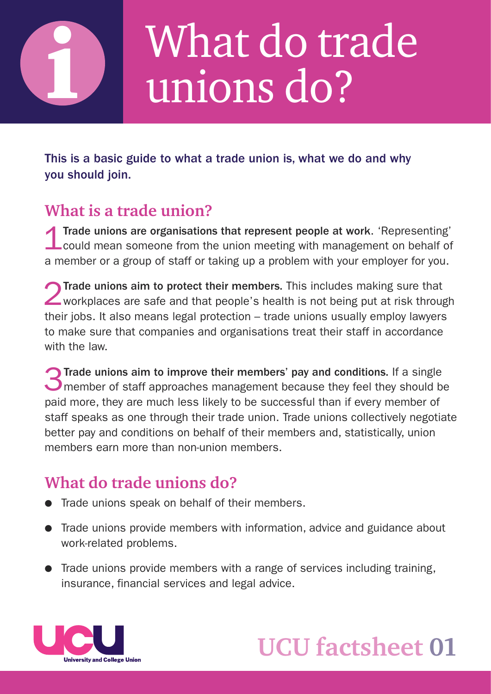

## What do trade unions do?

This is a basic guide to what a trade union is, what we do and why you should join.

#### **What is a trade union?**

1Trade unions are organisations that represent people at work. 'Representing' could mean someone from the union meeting with management on behalf of a member or a group of staff or taking up a problem with your employer for you.

2Trade unions aim to protect their members. This includes making sure that workplaces are safe and that people's health is not being put at risk through their jobs. It also means legal protection – trade unions usually employ lawyers to make sure that companies and organisations treat their staff in accordance with the law.

3Trade unions aim to improve their members' pay and conditions. If a single member of staff approaches management because they feel they should be paid more, they are much less likely to be successful than if every member of staff speaks as one through their trade union. Trade unions collectively negotiate better pay and conditions on behalf of their members and, statistically, union members earn more than non-union members.

## **What do trade unions do?**

- **Trade unions speak on behalf of their members.**
- Trade unions provide members with information, advice and guidance about work-related problems.
- $\bullet$  Trade unions provide members with a range of services including training, insurance, financial services and legal advice.



## **UCU factsheet 01**